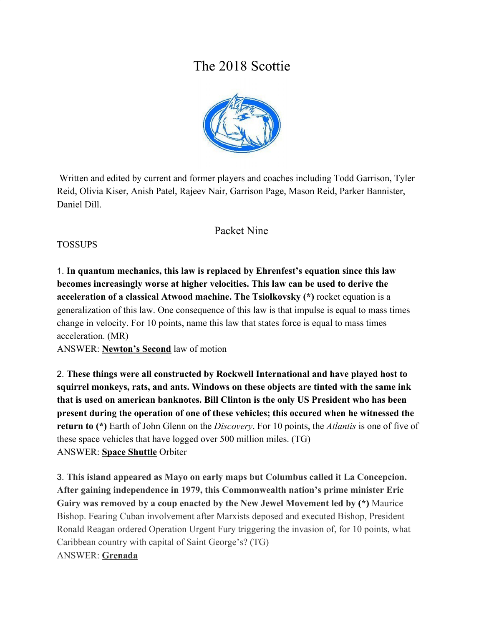# The 2018 Scottie



 Written and edited by current and former players and coaches including Todd Garrison, Tyler Reid, Olivia Kiser, Anish Patel, Rajeev Nair, Garrison Page, Mason Reid, Parker Bannister, Daniel Dill.

### Packet Nine

#### TOSSUPS

1. **In quantum mechanics, this law is replaced by Ehrenfest's equation since this law becomes increasingly worse at higher velocities. This law can be used to derive the acceleration of a classical Atwood machine. The Tsiolkovsky (\*)** rocket equation is a generalization of this law. One consequence of this law is that impulse is equal to mass times change in velocity. For 10 points, name this law that states force is equal to mass times acceleration. (MR)

ANSWER: **Newton's Second** law of motion

2. **These things were all constructed by Rockwell International and have played host to squirrel monkeys, rats, and ants. Windows on these objects are tinted with the same ink that is used on american banknotes. Bill Clinton is the only US President who has been present during the operation of one of these vehicles; this occured when he witnessed the return to (\*)** Earth of John Glenn on the *Discovery*. For 10 points, the *Atlantis* is one of five of these space vehicles that have logged over 500 million miles. (TG) ANSWER: **Space Shuttle** Orbiter

3. **This island appeared as Mayo on early maps but Columbus called it La Concepcion. After gaining independence in 1979, this Commonwealth nation's prime minister Eric Gairy was removed by a coup enacted by the New Jewel Movement led by (\*)** Maurice Bishop. Fearing Cuban involvement after Marxists deposed and executed Bishop, President Ronald Reagan ordered Operation Urgent Fury triggering the invasion of, for 10 points, what Caribbean country with capital of Saint George's? (TG) ANSWER: **Grenada**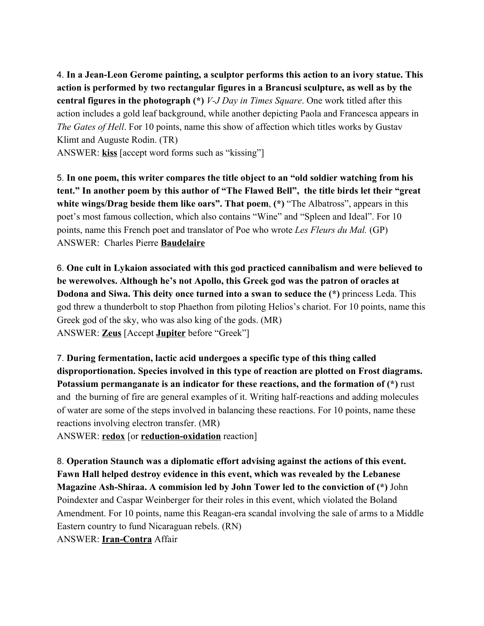4. **In a Jean-Leon Gerome painting, a sculptor performs this action to an ivory statue. This action is performed by two rectangular figures in a Brancusi sculpture, as well as by the central figures in the photograph (\*)** *V-J Day in Times Square*. One work titled after this action includes a gold leaf background, while another depicting Paola and Francesca appears in *The Gates of Hell*. For 10 points, name this show of affection which titles works by Gustav Klimt and Auguste Rodin. (TR)

ANSWER: **kiss** [accept word forms such as "kissing"]

5. **In one poem, this writer compares the title object to an "old soldier watching from his tent." In another poem by this author of "The Flawed Bell", the title birds let their "great white wings/Drag beside them like oars". That poem**, **(\*)** "The Albatross", appears in this poet's most famous collection, which also contains "Wine" and "Spleen and Ideal". For 10 points, name this French poet and translator of Poe who wrote *Les Fleurs du Mal.* (GP) ANSWER: Charles Pierre **Baudelaire**

6. **One cult in Lykaion associated with this god practiced cannibalism and were believed to be werewolves. Although he's not Apollo, this Greek god was the patron of oracles at Dodona and Siwa. This deity once turned into a swan to seduce the (\*)** princess Leda. This god threw a thunderbolt to stop Phaethon from piloting Helios's chariot. For 10 points, name this Greek god of the sky, who was also king of the gods. (MR) ANSWER: **Zeus** [Accept **Jupiter** before "Greek"]

7. **During fermentation, lactic acid undergoes a specific type of this thing called disproportionation. Species involved in this type of reaction are plotted on Frost diagrams. Potassium permanganate is an indicator for these reactions, and the formation of (\*)** rust and the burning of fire are general examples of it. Writing half-reactions and adding molecules of water are some of the steps involved in balancing these reactions. For 10 points, name these reactions involving electron transfer. (MR)

ANSWER: **redox** [or **reduction-oxidation** reaction]

8. **Operation Staunch was a diplomatic effort advising against the actions of this event. Fawn Hall helped destroy evidence in this event, which was revealed by the Lebanese Magazine Ash-Shiraa. A commision led by John Tower led to the conviction of (\*)** John Poindexter and Caspar Weinberger for their roles in this event, which violated the Boland Amendment. For 10 points, name this Reagan-era scandal involving the sale of arms to a Middle Eastern country to fund Nicaraguan rebels. (RN) ANSWER: **Iran-Contra** Affair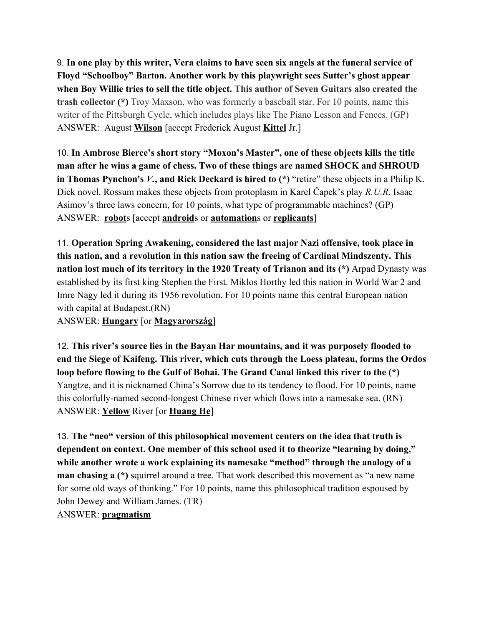9. **In one play by this writer, Vera claims to have seen six angels at the funeral service of Floyd "Schoolboy" Barton. Another work by this playwright sees Sutter's ghost appear when Boy Willie tries to sell the title object. This author of Seven Guitars also created the trash collector (\*)** Troy Maxson, who was formerly a baseball star. For 10 points, name this writer of the Pittsburgh Cycle, which includes plays like The Piano Lesson and Fences. (GP) ANSWER: August **Wilson** [accept Frederick August **Kittel** Jr.]

10. **In Ambrose Bierce's short story "Moxon's Master", one of these objects kills the title man after he wins a game of chess. Two of these things are named SHOCK and SHROUD in Thomas Pynchon's** *V.***, and Rick Deckard is hired to (\*)** "retire" these objects in a Philip K. Dick novel. Rossum makes these objects from protoplasm in Karel Čapek's play *R.U.R.* Isaac Asimov's three laws concern, for 10 points, what type of programmable machines? (GP) ANSWER: **robot**s [accept **android**s or **automation**s or **replicants**]

11. **Operation Spring Awakening, considered the last major Nazi offensive, took place in this nation, and a revolution in this nation saw the freeing of Cardinal Mindszenty. This nation lost much of its territory in the 1920 Treaty of Trianon and its (\*)** Arpad Dynasty was established by its first king Stephen the First. Miklos Horthy led this nation in World War 2 and Imre Nagy led it during its 1956 revolution. For 10 points name this central European nation with capital at Budapest.(RN)

ANSWER: **Hungary** [or **Magyarország**]

12. **This river's source lies in the Bayan Har mountains, and it was purposely flooded to end the Siege of Kaifeng. This river, which cuts through the Loess plateau, forms the Ordos loop before flowing to the Gulf of Bohai. The Grand Canal linked this river to the (\*)** Yangtze, and it is nicknamed China's Sorrow due to its tendency to flood. For 10 points, name this colorfully-named second-longest Chinese river which flows into a namesake sea. (RN) ANSWER: **Yellow** River [or **Huang He**]

13. **The "neo" version of this philosophical movement centers on the idea that truth is dependent on context. One member of this school used it to theorize "learning by doing," while another wrote a work explaining its namesake "method" through the analogy of a man chasing a**  $(*)$  squirrel around a tree. That work described this movement as "a new name" for some old ways of thinking." For 10 points, name this philosophical tradition espoused by John Dewey and William James. (TR) ANSWER: **pragmatism**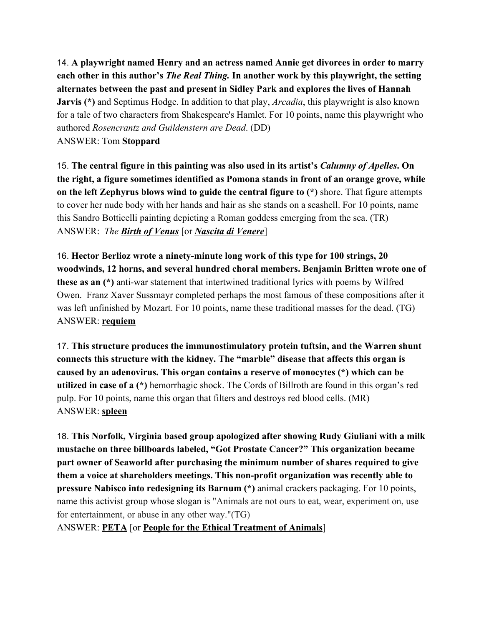14. **A playwright named Henry and an actress named Annie get divorces in order to marry each other in this author's** *The Real Thing.* **In another work by this playwright, the setting alternates between the past and present in Sidley Park and explores the lives of Hannah Jarvis (\*)** and Septimus Hodge. In addition to that play, *Arcadia*, this playwright is also known for a tale of two characters from Shakespeare's Hamlet. For 10 points, name this playwright who authored *Rosencrantz and Guildenstern are Dead*. (DD) ANSWER: Tom **Stoppard**

15. **The central figure in this painting was also used in its artist's** *Calumny of Apelles***. On the right, a figure sometimes identified as Pomona stands in front of an orange grove, while on the left Zephyrus blows wind to guide the central figure to (\*)** shore. That figure attempts to cover her nude body with her hands and hair as she stands on a seashell. For 10 points, name this Sandro Botticelli painting depicting a Roman goddess emerging from the sea. (TR) ANSWER: *The Birth of Venus* [or *Nascita di Venere*]

16. **Hector Berlioz wrote a ninety-minute long work of this type for 100 strings, 20 woodwinds, 12 horns, and several hundred choral members. Benjamin Britten wrote one of these as an (\*)** anti-war statement that intertwined traditional lyrics with poems by Wilfred Owen. Franz Xaver Sussmayr completed perhaps the most famous of these compositions after it was left unfinished by Mozart. For 10 points, name these traditional masses for the dead. (TG) ANSWER: **requiem**

17. **This structure produces the immunostimulatory protein tuftsin, and the Warren shunt connects this structure with the kidney. The "marble" disease that affects this organ is caused by an adenovirus. This organ contains a reserve of monocytes (\*) which can be utilized in case of a (\*)** hemorrhagic shock. The Cords of Billroth are found in this organ's red pulp. For 10 points, name this organ that filters and destroys red blood cells. (MR) ANSWER: **spleen**

18. **This Norfolk, Virginia based group apologized after showing Rudy Giuliani with a milk mustache on three billboards labeled, "Got Prostate Cancer?" This organization became part owner of Seaworld after purchasing the minimum number of shares required to give them a voice at shareholders meetings. This non-profit organization was recently able to pressure Nabisco into redesigning its Barnum (\*)** animal crackers packaging. For 10 points, name this activist group whose slogan is "Animals are not ours to eat, wear, experiment on, use for entertainment, or abuse in any other way."(TG)

ANSWER: **PETA** [or **People for the Ethical Treatment of Animals**]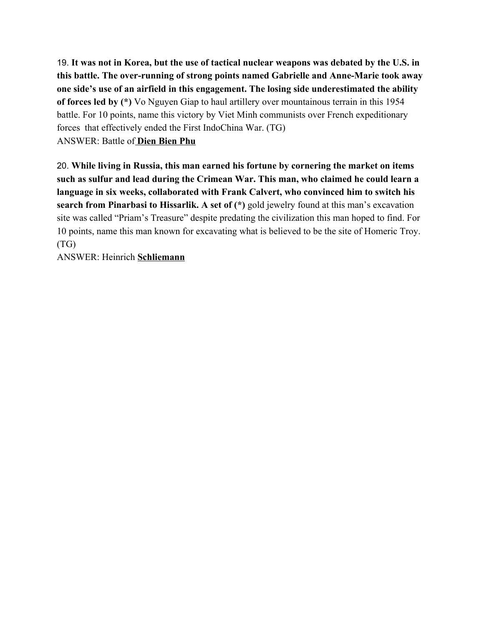19. **It was not in Korea, but the use of tactical nuclear weapons was debated by the U.S. in this battle. The over-running of strong points named Gabrielle and Anne-Marie took away one side's use of an airfield in this engagement. The losing side underestimated the ability of forces led by (\*)** Vo Nguyen Giap to haul artillery over mountainous terrain in this 1954 battle. For 10 points, name this victory by Viet Minh communists over French expeditionary forces that effectively ended the First IndoChina War. (TG) ANSWER: Battle of **Dien Bien Phu**

20. **While living in Russia, this man earned his fortune by cornering the market on items such as sulfur and lead during the Crimean War. This man, who claimed he could learn a language in six weeks, collaborated with Frank Calvert, who convinced him to switch his search from Pinarbasi to Hissarlik. A set of (\*)** gold jewelry found at this man's excavation site was called "Priam's Treasure" despite predating the civilization this man hoped to find. For 10 points, name this man known for excavating what is believed to be the site of Homeric Troy. (TG)

ANSWER: Heinrich **Schliemann**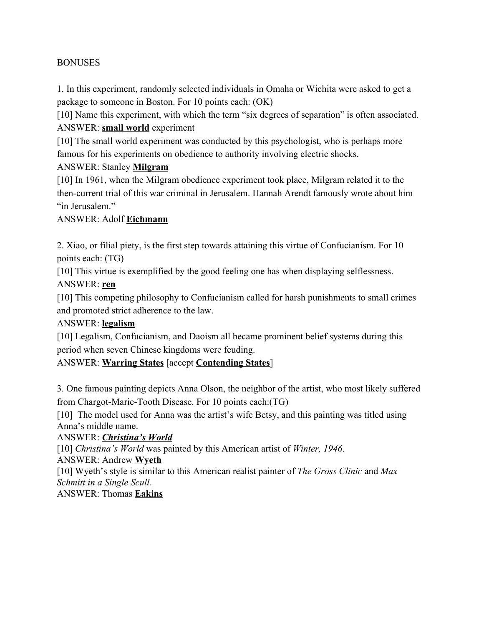#### **BONUSES**

1. In this experiment, randomly selected individuals in Omaha or Wichita were asked to get a package to someone in Boston. For 10 points each: (OK)

[10] Name this experiment, with which the term "six degrees of separation" is often associated. ANSWER: **small world** experiment

[10] The small world experiment was conducted by this psychologist, who is perhaps more famous for his experiments on obedience to authority involving electric shocks.

#### ANSWER: Stanley **Milgram**

[10] In 1961, when the Milgram obedience experiment took place, Milgram related it to the then-current trial of this war criminal in Jerusalem. Hannah Arendt famously wrote about him "in Jerusalem"

#### ANSWER: Adolf **Eichmann**

2. Xiao, or filial piety, is the first step towards attaining this virtue of Confucianism. For 10 points each: (TG)

[10] This virtue is exemplified by the good feeling one has when displaying selflessness. ANSWER: **ren**

[10] This competing philosophy to Confucianism called for harsh punishments to small crimes and promoted strict adherence to the law.

#### ANSWER: **legalism**

[10] Legalism, Confucianism, and Daoism all became prominent belief systems during this period when seven Chinese kingdoms were feuding.

#### ANSWER: **Warring States** [accept **Contending States**]

3. One famous painting depicts Anna Olson, the neighbor of the artist, who most likely suffered from Chargot-Marie-Tooth Disease. For 10 points each:(TG)

[10] The model used for Anna was the artist's wife Betsy, and this painting was titled using Anna's middle name.

#### ANSWER: *Christina's World*

[10] *Christina's World* was painted by this American artist of *Winter, 1946*.

ANSWER: Andrew **Wyeth**

[10] Wyeth's style is similar to this American realist painter of *The Gross Clinic* and *Max Schmitt in a Single Scull*.

ANSWER: Thomas **Eakins**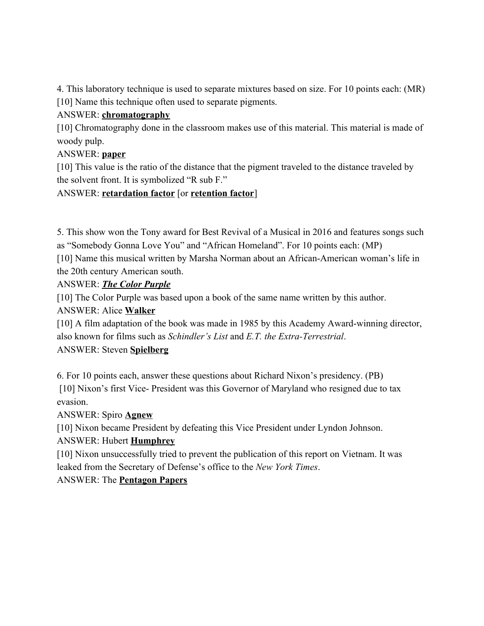4. This laboratory technique is used to separate mixtures based on size. For 10 points each: (MR) [10] Name this technique often used to separate pigments.

### ANSWER: **chromatography**

[10] Chromatography done in the classroom makes use of this material. This material is made of woody pulp.

### ANSWER: **paper**

[10] This value is the ratio of the distance that the pigment traveled to the distance traveled by the solvent front. It is symbolized "R sub F."

### ANSWER: **retardation factor** [or **retention factor**]

5. This show won the Tony award for Best Revival of a Musical in 2016 and features songs such as "Somebody Gonna Love You" and "African Homeland". For 10 points each: (MP)

[10] Name this musical written by Marsha Norman about an African-American woman's life in the 20th century American south.

### ANSWER: *The Color Purple*

[10] The Color Purple was based upon a book of the same name written by this author.

### ANSWER: Alice **Walker**

[10] A film adaptation of the book was made in 1985 by this Academy Award-winning director, also known for films such as *Schindler's List* and *E.T. the Extra-Terrestrial*.

### ANSWER: Steven **Spielberg**

6. For 10 points each, answer these questions about Richard Nixon's presidency. (PB) [10] Nixon's first Vice- President was this Governor of Maryland who resigned due to tax evasion.

# ANSWER: Spiro **Agnew**

[10] Nixon became President by defeating this Vice President under Lyndon Johnson.

# ANSWER: Hubert **Humphrey**

[10] Nixon unsuccessfully tried to prevent the publication of this report on Vietnam. It was leaked from the Secretary of Defense's office to the *New York Times*.

# ANSWER: The **Pentagon Papers**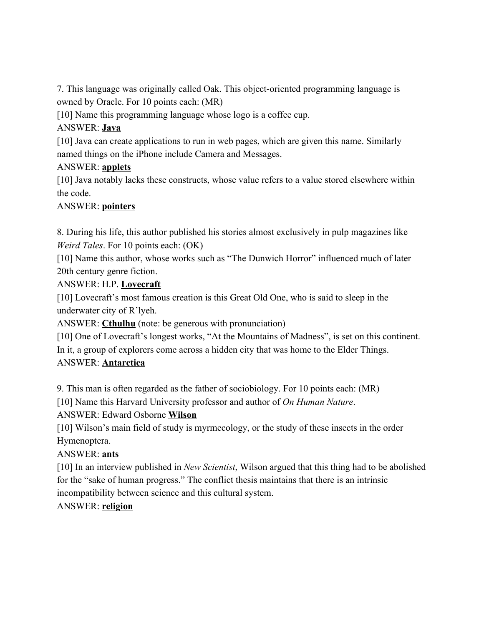7. This language was originally called Oak. This object-oriented programming language is owned by Oracle. For 10 points each: (MR)

[10] Name this programming language whose logo is a coffee cup.

# ANSWER: **Java**

[10] Java can create applications to run in web pages, which are given this name. Similarly named things on the iPhone include Camera and Messages.

# ANSWER: **applets**

[10] Java notably lacks these constructs, whose value refers to a value stored elsewhere within the code.

# ANSWER: **pointers**

8. During his life, this author published his stories almost exclusively in pulp magazines like *Weird Tales*. For 10 points each: (OK)

[10] Name this author, whose works such as "The Dunwich Horror" influenced much of later 20th century genre fiction.

# ANSWER: H.P. **Lovecraft**

[10] Lovecraft's most famous creation is this Great Old One, who is said to sleep in the underwater city of R'lyeh.

ANSWER: **Cthulhu** (note: be generous with pronunciation)

[10] One of Lovecraft's longest works, "At the Mountains of Madness", is set on this continent. In it, a group of explorers come across a hidden city that was home to the Elder Things. ANSWER: **Antarctica**

9. This man is often regarded as the father of sociobiology. For 10 points each: (MR)

[10] Name this Harvard University professor and author of *On Human Nature*.

ANSWER: Edward Osborne **Wilson**

[10] Wilson's main field of study is myrmecology, or the study of these insects in the order Hymenoptera.

# ANSWER: **ants**

[10] In an interview published in *New Scientist*, Wilson argued that this thing had to be abolished for the "sake of human progress." The conflict thesis maintains that there is an intrinsic incompatibility between science and this cultural system.

# ANSWER: **religion**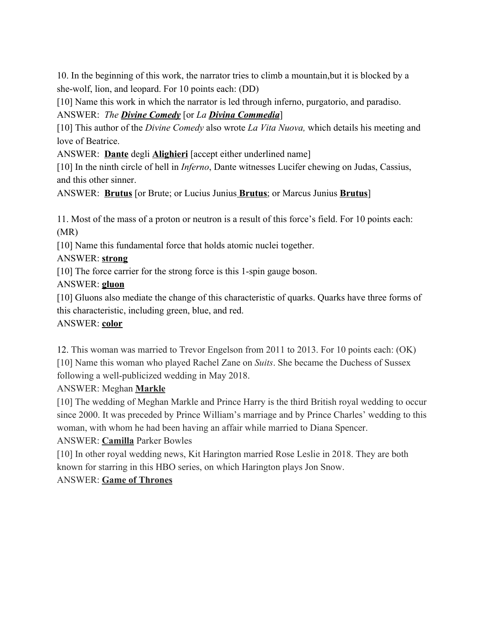10. In the beginning of this work, the narrator tries to climb a mountain,but it is blocked by a she-wolf, lion, and leopard. For 10 points each: (DD)

[10] Name this work in which the narrator is led through inferno, purgatorio, and paradiso. ANSWER: *The Divine Comedy* [or *La Divina Commedia*]

[10] This author of the *Divine Comedy* also wrote *La Vita Nuova,* which details his meeting and love of Beatrice.

ANSWER: **Dante** degli **Alighieri** [accept either underlined name]

[10] In the ninth circle of hell in *Inferno*, Dante witnesses Lucifer chewing on Judas, Cassius, and this other sinner.

ANSWER: **Brutus** [or Brute; or Lucius Junius **Brutus**; or Marcus Junius **Brutus**]

11. Most of the mass of a proton or neutron is a result of this force's field. For 10 points each: (MR)

[10] Name this fundamental force that holds atomic nuclei together.

ANSWER: **strong**

[10] The force carrier for the strong force is this 1-spin gauge boson.

ANSWER: **gluon**

[10] Gluons also mediate the change of this characteristic of quarks. Quarks have three forms of this characteristic, including green, blue, and red.

### ANSWER: **color**

12. This woman was married to Trevor Engelson from 2011 to 2013. For 10 points each: (OK) [10] Name this woman who played Rachel Zane on *Suits*. She became the Duchess of Sussex following a well-publicized wedding in May 2018.

ANSWER: Meghan **Markle**

[10] The wedding of Meghan Markle and Prince Harry is the third British royal wedding to occur since 2000. It was preceded by Prince William's marriage and by Prince Charles' wedding to this woman, with whom he had been having an affair while married to Diana Spencer.

### ANSWER: **Camilla** Parker Bowles

[10] In other royal wedding news, Kit Harington married Rose Leslie in 2018. They are both known for starring in this HBO series, on which Harington plays Jon Snow.

### ANSWER: **Game of Thrones**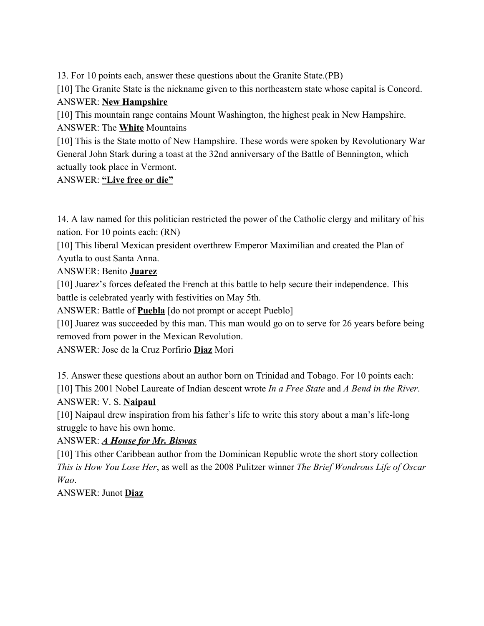13. For 10 points each, answer these questions about the Granite State.(PB)

[10] The Granite State is the nickname given to this northeastern state whose capital is Concord. ANSWER: **New Hampshire**

[10] This mountain range contains Mount Washington, the highest peak in New Hampshire. ANSWER: The **White** Mountains

[10] This is the State motto of New Hampshire. These words were spoken by Revolutionary War General John Stark during a toast at the 32nd anniversary of the Battle of Bennington, which actually took place in Vermont.

#### ANSWER: **"Live free or die"**

14. A law named for this politician restricted the power of the Catholic clergy and military of his nation. For 10 points each: (RN)

[10] This liberal Mexican president overthrew Emperor Maximilian and created the Plan of Ayutla to oust Santa Anna.

ANSWER: Benito **Juarez**

[10] Juarez's forces defeated the French at this battle to help secure their independence. This battle is celebrated yearly with festivities on May 5th.

ANSWER: Battle of **Puebla** [do not prompt or accept Pueblo]

[10] Juarez was succeeded by this man. This man would go on to serve for 26 years before being removed from power in the Mexican Revolution.

ANSWER: Jose de la Cruz Porfirio **Diaz** Mori

15. Answer these questions about an author born on Trinidad and Tobago. For 10 points each: [10] This 2001 Nobel Laureate of Indian descent wrote *In a Free State* and *A Bend in the River*. ANSWER: V. S. **Naipaul**

[10] Naipaul drew inspiration from his father's life to write this story about a man's life-long struggle to have his own home.

### ANSWER: *A House for Mr. Biswas*

[10] This other Caribbean author from the Dominican Republic wrote the short story collection *This is How You Lose Her*, as well as the 2008 Pulitzer winner *The Brief Wondrous Life of Oscar Wao*.

ANSWER: Junot **Diaz**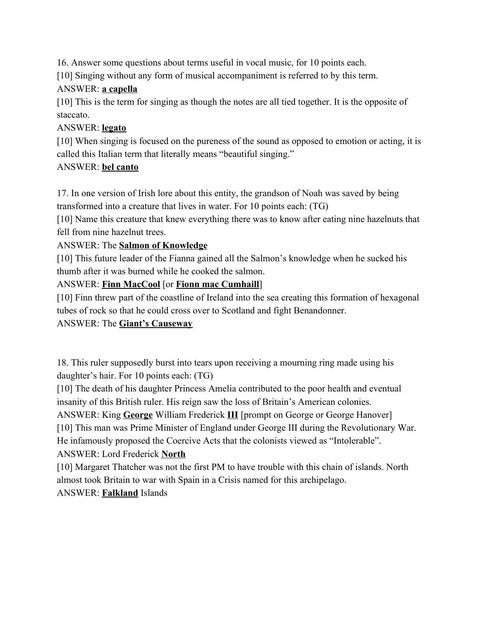16. Answer some questions about terms useful in vocal music, for 10 points each.

[10] Singing without any form of musical accompaniment is referred to by this term.

### ANSWER: **a capella**

[10] This is the term for singing as though the notes are all tied together. It is the opposite of staccato.

### ANSWER: **legato**

[10] When singing is focused on the pureness of the sound as opposed to emotion or acting, it is called this Italian term that literally means "beautiful singing."

### ANSWER: **bel canto**

17. In one version of Irish lore about this entity, the grandson of Noah was saved by being transformed into a creature that lives in water. For 10 points each: (TG)

[10] Name this creature that knew everything there was to know after eating nine hazelnuts that fell from nine hazelnut trees.

### ANSWER: The **Salmon of Knowledge**

[10] This future leader of the Fianna gained all the Salmon's knowledge when he sucked his thumb after it was burned while he cooked the salmon.

### ANSWER: **Finn MacCool** [or **Fionn mac Cumhaill**]

[10] Finn threw part of the coastline of Ireland into the sea creating this formation of hexagonal tubes of rock so that he could cross over to Scotland and fight Benandonner.

# ANSWER: The **Giant's Causeway**

18. This ruler supposedly burst into tears upon receiving a mourning ring made using his daughter's hair. For 10 points each: (TG)

[10] The death of his daughter Princess Amelia contributed to the poor health and eventual insanity of this British ruler. His reign saw the loss of Britain's American colonies.

ANSWER: King George William Frederick **III** [prompt on George or George Hanover]

[10] This man was Prime Minister of England under George III during the Revolutionary War.

He infamously proposed the Coercive Acts that the colonists viewed as "Intolerable".

ANSWER: Lord Frederick **North**

[10] Margaret Thatcher was not the first PM to have trouble with this chain of islands. North almost took Britain to war with Spain in a Crisis named for this archipelago.

### ANSWER: **Falkland** Islands